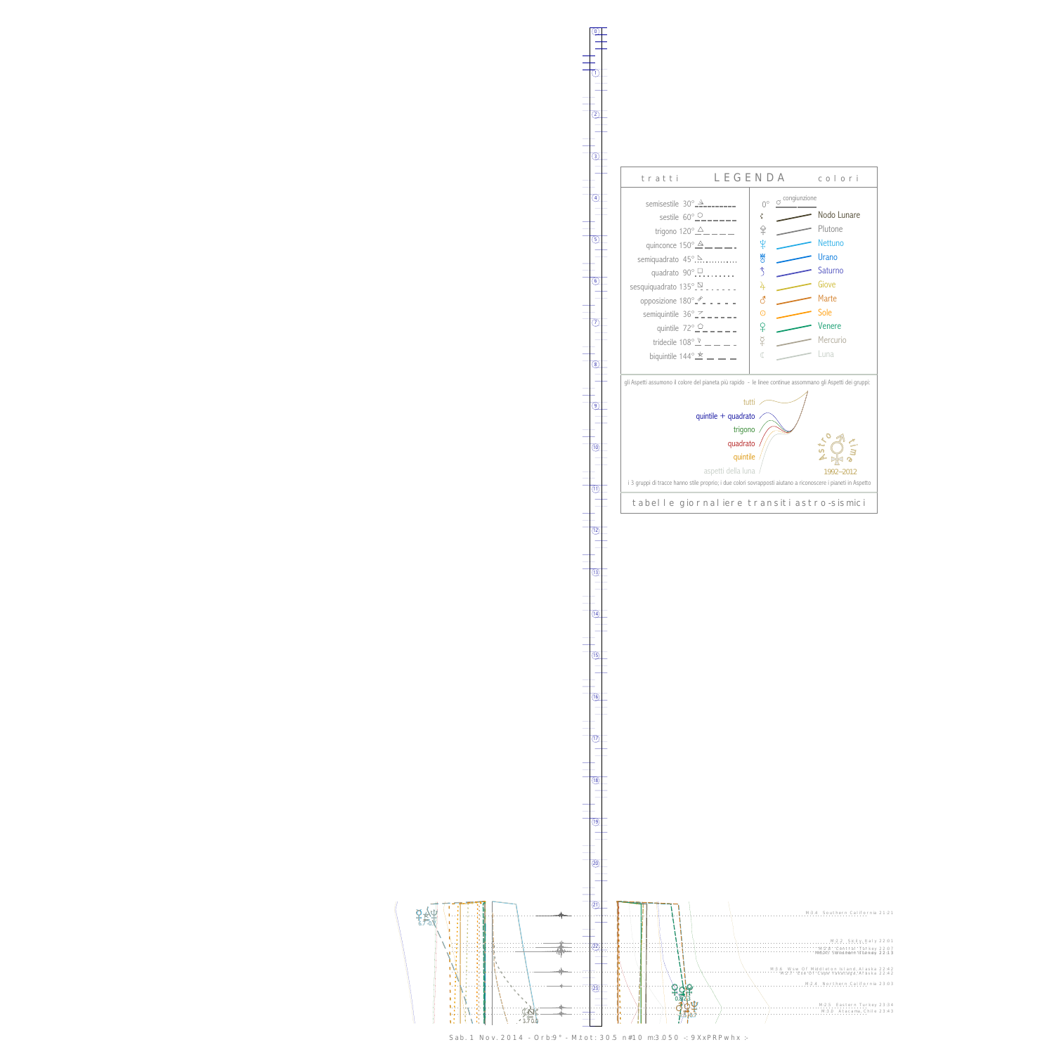$\c{\mathrm{F}}$  $6,7$ ➟

W